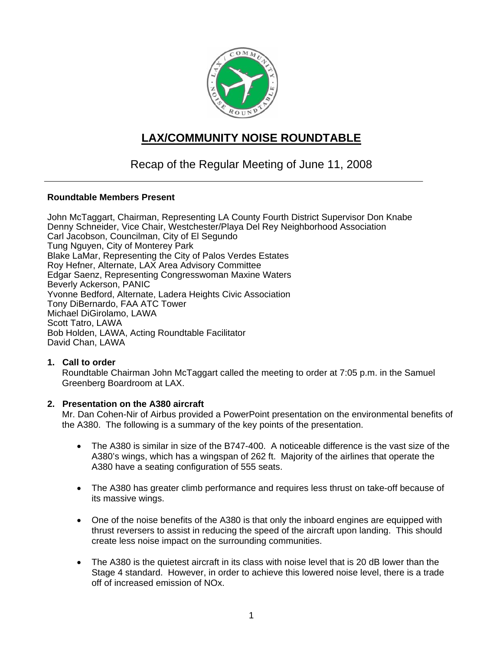

# **LAX/COMMUNITY NOISE ROUNDTABLE**

## Recap of the Regular Meeting of June 11, 2008

## **Roundtable Members Present**

John McTaggart, Chairman, Representing LA County Fourth District Supervisor Don Knabe Denny Schneider, Vice Chair, Westchester/Playa Del Rey Neighborhood Association Carl Jacobson, Councilman, City of El Segundo Tung Nguyen, City of Monterey Park Blake LaMar, Representing the City of Palos Verdes Estates Roy Hefner, Alternate, LAX Area Advisory Committee Edgar Saenz, Representing Congresswoman Maxine Waters Beverly Ackerson, PANIC Yvonne Bedford, Alternate, Ladera Heights Civic Association Tony DiBernardo, FAA ATC Tower Michael DiGirolamo, LAWA Scott Tatro, LAWA Bob Holden, LAWA, Acting Roundtable Facilitator David Chan, LAWA

## **1. Call to order**

Roundtable Chairman John McTaggart called the meeting to order at 7:05 p.m. in the Samuel Greenberg Boardroom at LAX.

## **2. Presentation on the A380 aircraft**

Mr. Dan Cohen-Nir of Airbus provided a PowerPoint presentation on the environmental benefits of the A380. The following is a summary of the key points of the presentation.

- The A380 is similar in size of the B747-400. A noticeable difference is the vast size of the A380's wings, which has a wingspan of 262 ft. Majority of the airlines that operate the A380 have a seating configuration of 555 seats.
- The A380 has greater climb performance and requires less thrust on take-off because of its massive wings.
- One of the noise benefits of the A380 is that only the inboard engines are equipped with thrust reversers to assist in reducing the speed of the aircraft upon landing. This should create less noise impact on the surrounding communities.
- The A380 is the quietest aircraft in its class with noise level that is 20 dB lower than the Stage 4 standard. However, in order to achieve this lowered noise level, there is a trade off of increased emission of NOx.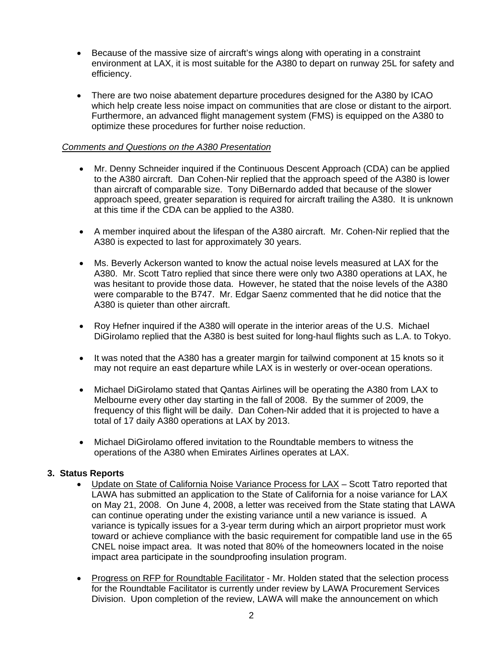- Because of the massive size of aircraft's wings along with operating in a constraint environment at LAX, it is most suitable for the A380 to depart on runway 25L for safety and efficiency.
- There are two noise abatement departure procedures designed for the A380 by ICAO which help create less noise impact on communities that are close or distant to the airport. Furthermore, an advanced flight management system (FMS) is equipped on the A380 to optimize these procedures for further noise reduction.

#### *Comments and Questions on the A380 Presentation*

- Mr. Denny Schneider inquired if the Continuous Descent Approach (CDA) can be applied to the A380 aircraft. Dan Cohen-Nir replied that the approach speed of the A380 is lower than aircraft of comparable size. Tony DiBernardo added that because of the slower approach speed, greater separation is required for aircraft trailing the A380. It is unknown at this time if the CDA can be applied to the A380.
- A member inquired about the lifespan of the A380 aircraft. Mr. Cohen-Nir replied that the A380 is expected to last for approximately 30 years.
- Ms. Beverly Ackerson wanted to know the actual noise levels measured at LAX for the A380. Mr. Scott Tatro replied that since there were only two A380 operations at LAX, he was hesitant to provide those data. However, he stated that the noise levels of the A380 were comparable to the B747. Mr. Edgar Saenz commented that he did notice that the A380 is quieter than other aircraft.
- Roy Hefner inquired if the A380 will operate in the interior areas of the U.S. Michael DiGirolamo replied that the A380 is best suited for long-haul flights such as L.A. to Tokyo.
- It was noted that the A380 has a greater margin for tailwind component at 15 knots so it may not require an east departure while LAX is in westerly or over-ocean operations.
- Michael DiGirolamo stated that Qantas Airlines will be operating the A380 from LAX to Melbourne every other day starting in the fall of 2008. By the summer of 2009, the frequency of this flight will be daily. Dan Cohen-Nir added that it is projected to have a total of 17 daily A380 operations at LAX by 2013.
- Michael DiGirolamo offered invitation to the Roundtable members to witness the operations of the A380 when Emirates Airlines operates at LAX.

## **3. Status Reports**

- Update on State of California Noise Variance Process for LAX Scott Tatro reported that LAWA has submitted an application to the State of California for a noise variance for LAX on May 21, 2008. On June 4, 2008, a letter was received from the State stating that LAWA can continue operating under the existing variance until a new variance is issued. A variance is typically issues for a 3-year term during which an airport proprietor must work toward or achieve compliance with the basic requirement for compatible land use in the 65 CNEL noise impact area. It was noted that 80% of the homeowners located in the noise impact area participate in the soundproofing insulation program.
- Progress on RFP for Roundtable Facilitator Mr. Holden stated that the selection process for the Roundtable Facilitator is currently under review by LAWA Procurement Services Division. Upon completion of the review, LAWA will make the announcement on which